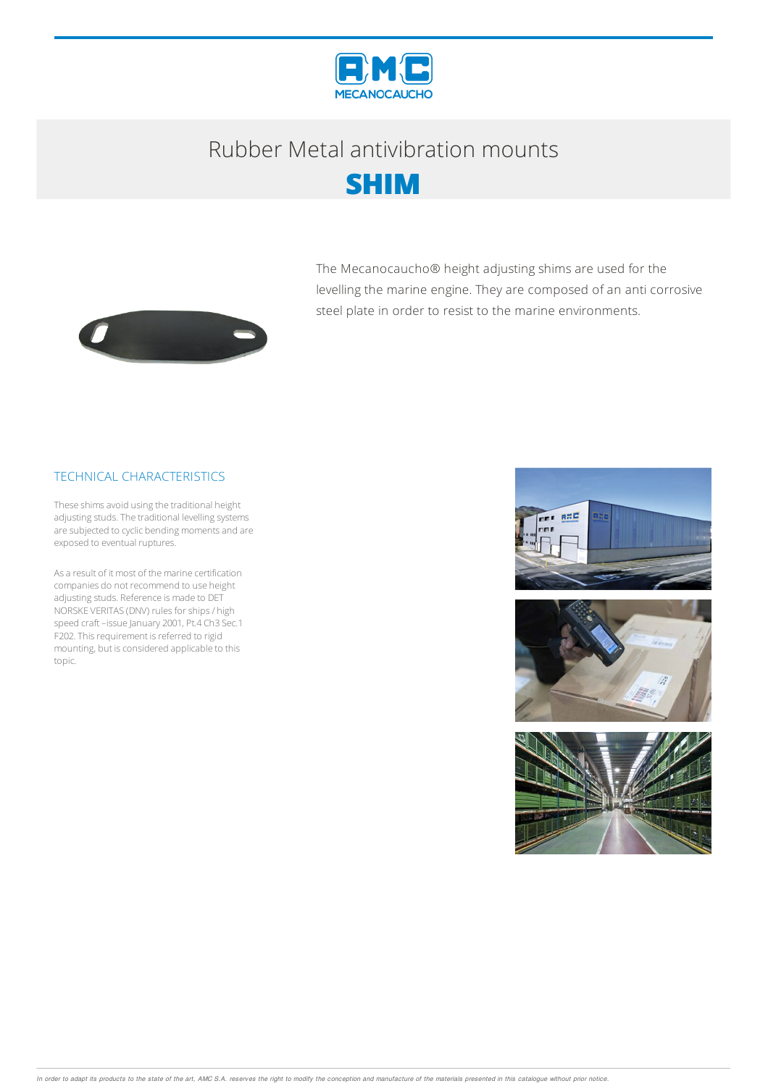

# Rubber Metalantivibration mounts



The Mecanocaucho® height adjusting shims are used for the levelling the marine engine. They are composed of an anti corrosive steel plate in order to resist to the marine environments.



### TECHNICAL CHARACTERISTICS

These shims avoid using the traditional height adjusting studs. The traditional levelling systems are subjected to cyclic bending moments and are exposed to eventual ruptures.

As a result of it most of the marine certification companies do not recommend to use height adjusting studs. Reference is made to DET NORSKE VERITAS (DNV) rules for ships / high speed craft–issue January 2001, Pt.4 Ch3 Sec.1 F202. This requirement is referred to rigid mounting, but is considered applicable to this topic.